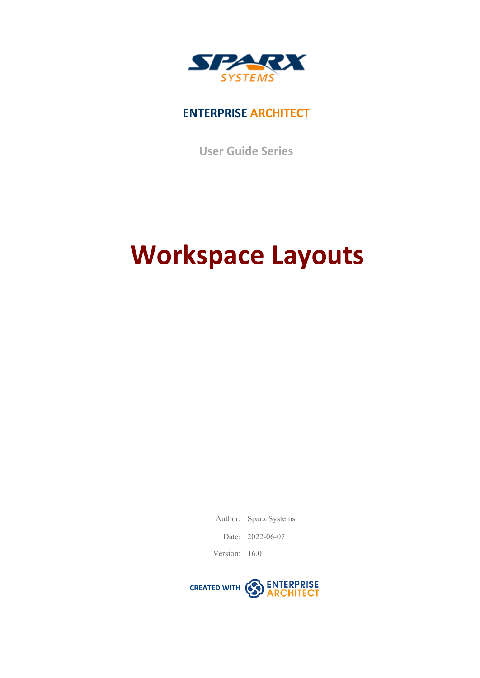

## **ENTERPRISE ARCHITECT**

**User Guide Series**

# **Workspace Layouts**

Author: Sparx Systems

Date: 2022-06-07

Version: 16.0

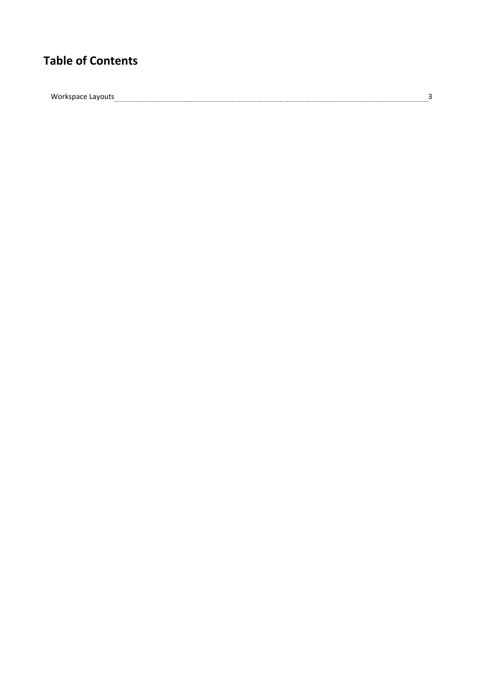## **Table of Contents**

 $\label{thm:1} \text{Workspace} \text{Layouts}_{\textit{1}} \text{1} \text{2} \text{3} \text{3}$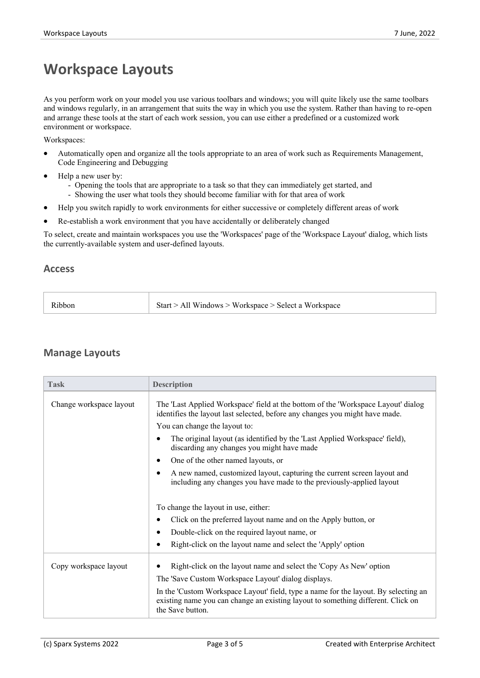## **Workspace Layouts**

As you perform work on your model you use various toolbars and windows; you will quite likely use the same toolbars and windows regularly, in an arrangement that suits the way in which you use the system. Rather than having to re-open and arrange these tools at the start of each work session, you can use either a predefined or a customized work environment or workspace.

Workspaces:

- · Automatically open and organize all the tools appropriate to an area of work such as Requirements Management, Code Engineering and Debugging
- Help a new user by:
	- Opening the tools that are appropriate to a task so that they can immediately get started, and
	- Showing the user what tools they should become familiar with for that area of work
- Help you switch rapidly to work environments for either successive or completely different areas of work
- Re-establish a work environment that you have accidentally or deliberately changed

To select, create and maintain workspaces you use the 'Workspaces' page of the 'Workspace Layout' dialog, which lists the currently-available system and user-defined layouts.

### **Access**

| Start > All Windows > Workspace > Select a Workspace<br>Ribbon |
|----------------------------------------------------------------|
|----------------------------------------------------------------|

### **Manage Layouts**

| <b>Task</b>             | <b>Description</b>                                                                                                                                                                          |
|-------------------------|---------------------------------------------------------------------------------------------------------------------------------------------------------------------------------------------|
| Change workspace layout | The 'Last Applied Workspace' field at the bottom of the 'Workspace Layout' dialog<br>identifies the layout last selected, before any changes you might have made.                           |
|                         | You can change the layout to:                                                                                                                                                               |
|                         | The original layout (as identified by the 'Last Applied Workspace' field),<br>$\epsilon$<br>discarding any changes you might have made                                                      |
|                         | One of the other named layouts, or<br>$\bullet$                                                                                                                                             |
|                         | A new named, customized layout, capturing the current screen layout and<br>$\bullet$<br>including any changes you have made to the previously-applied layout                                |
|                         | To change the layout in use, either:                                                                                                                                                        |
|                         | Click on the preferred layout name and on the Apply button, or<br>$\bullet$                                                                                                                 |
|                         | Double-click on the required layout name, or                                                                                                                                                |
|                         | Right-click on the layout name and select the 'Apply' option                                                                                                                                |
| Copy workspace layout   | Right-click on the layout name and select the 'Copy As New' option                                                                                                                          |
|                         | The 'Save Custom Workspace Layout' dialog displays.                                                                                                                                         |
|                         | In the 'Custom Workspace Layout' field, type a name for the layout. By selecting an<br>existing name you can change an existing layout to something different. Click on<br>the Save button. |